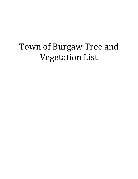# Town of Burgaw Tree and Vegetation List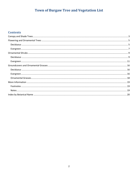## Town of Burgaw Tree and Vegetation List

## **Contents**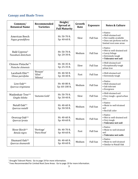## <span id="page-2-0"></span>**Canopy and Shade Trees**

| Common/<br><b>Botanical Name</b>                | Recommended<br><b>Varieties</b> | Height/<br>Spread at<br><b>Full Maturity</b> | Growth<br>Rate | <b>Exposure</b> | <b>Notes &amp; Culture</b>                                                                                          |
|-------------------------------------------------|---------------------------------|----------------------------------------------|----------------|-----------------|---------------------------------------------------------------------------------------------------------------------|
| American Beech<br>Fagus grandiflora             |                                 | Ht: 50-70 ft.<br>Sp: 40-60 ft.               | Slow           | <b>Full Sun</b> | • Native<br>• Well-drained soil<br>• Not readily available<br>• Does not perform well in<br>limited root zone areas |
| Bald Cypress <sup>^</sup><br>Taxodium distichum |                                 | Ht: 50-70 ft.<br>Sp: 20-30 ft.               | Medium         | <b>Full Sun</b> | • Native<br>• Wet to well-drained soil<br>• Lacey foliage<br>• Extremely tough<br>• Tolerates wet soil              |
| Chinese Pistache*^<br>Pistache chinensis        |                                 | Ht: 30-35 ft.<br>Sp: 25-35 ft.               | Slow           | <b>Full Sun</b> | • Well-drained soil<br>• Exceptionally tough<br>urban tree                                                          |
| Lacebark Elm <sup>*^</sup><br>Ulmus parvifolia  | 'Bosque'<br>'Allee'<br>'Athena' | Ht: 40-50 ft.<br>Sp: 30-40 ft.               | Fast           | <b>Full Sun</b> | · Well-drained soil<br>• Extremely tough                                                                            |
| Live Oak*^<br>Quercus virginiana                |                                 | Ht: 40-80 ft.<br>Sp: 60-100 ft.              | Medium         | <b>Full Sun</b> | • Native<br>• Well-drained soil<br>• Salt tolerant<br>• Evergreen                                                   |
| Maidenhair Tree*^<br>Gingko biloba              | 'Autumn Gold'                   | Ht: 50-70 ft.<br>Sp: 30-40 ft.               | Slow           | <b>Full Sun</b> | • Well-drained soil<br>• Very tough-good urban<br>tree                                                              |
| Nutall Oak*^<br>Quercus nutalli                 |                                 | Ht: 40-60 ft.<br>Sp: 30-50 ft.               | Medium         | <b>Full Sun</b> | • Native<br>· Moist to well-drained<br>soil<br>• Red fall color                                                     |
| Overcup Oak*^<br>Quercus lyrata                 |                                 | Ht: 40-60 ft.<br>Sp: 40-60 ft.               | Medium         | <b>Full Sun</b> | • Native<br>• Wet to well-drained soil<br>• Very tough<br>• Tolerates wet soil                                      |
| River Birch*^<br>Betula nigra                   | 'Heritage'<br>'Dura Heat'       | Ht: 40-70 ft.<br>Sp: 40-60 ft.               | Fast           | <b>Full Sun</b> | • Native<br>• Moist to well-drained<br>soil<br>• Tolerates wet soils                                                |
| Shumard Oak*^<br>Quercus shumardii              |                                 | Ht: 40-60 ft.<br>Sp: 40-60 ft.               | Medium         | <b>Full Sun</b> | • Native<br>• Moist to well-drained<br>• Similar to Nutall Oak                                                      |

 $\overline{a}$ 

<sup>&</sup>lt;sup>^</sup> Drought Tolerant Plants: Go to page 19 for more information.<br><sup>\*</sup> Trees Recommended for Limited Root Zone Areas: Go to page 19 for more information.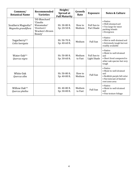| Common/<br><b>Botanical Name</b>                       | Recommended<br><b>Varieties</b>                                                        | Height/<br>Spread at<br><b>Full Maturity</b> | Growth<br>Rate    | <b>Exposure</b>                   | <b>Notes &amp; Culture</b>                                                                                                |
|--------------------------------------------------------|----------------------------------------------------------------------------------------|----------------------------------------------|-------------------|-----------------------------------|---------------------------------------------------------------------------------------------------------------------------|
| Southern Magnolia <sup>^</sup><br>Magnolia grandiflora | 'DD Blanchard'<br>'Claudia<br>Wanamaker'<br>'Overton's'<br>'Bracken's Brown<br>Beauty' | Ht: 30-80 ft.<br>Sp: 20-50 ft.               | Slow to<br>Medium | Full Sun to<br>Part Shade         | • Native<br>• Well-drained soil<br>• Too large for most<br>parking islands<br>• Evergreen                                 |
| Sugarberry*^<br>Celtis laevigata                       |                                                                                        | Ht: 50-70 ft.<br>Sp: 40-60 ft.               | Medium            | <b>Full Sun</b>                   | • Native<br>• Wet to well-drained soil<br>• Extremely tough but not<br>readily available                                  |
| Water Oak*^<br>Quercus nigra                           |                                                                                        | Ht: 50-80 ft.<br>Sp: 30-60 ft.               | Medium<br>to Fast | Full Sun to<br><b>Light Shade</b> | • Native<br>• Moist to well-drained<br>soil<br>• Short lived compared to<br>other oak species but very<br>tough           |
| White Oak<br>Quercus alba                              |                                                                                        | Ht: 50-80 ft.<br>Sp: 40-80 ft.               | Slow to<br>Medium | <b>Full Sun</b>                   | • Native<br>• Moist to well-drained<br>soil<br>• Reddish purple fall color<br>• Not tolerant of limited<br>root zone area |
| Willow Oak*^<br>Quercus phellos                        |                                                                                        | Ht: 40-80 ft.<br>Sp: 30-80 ft.               | Medium<br>to Fast | <b>Full Sun</b>                   | $\bullet$ Native<br>• Moist to well-drained<br>soil<br>• Fine texture foliage                                             |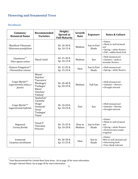## <span id="page-4-0"></span>**Flowering and Ornamental Trees**

#### <span id="page-4-1"></span>**Deciduous**

| Common/<br><b>Botanical Name</b>                   | Recommended<br><b>Varieties</b>                                                                       | Height/<br>Spread at<br><b>Full Maturity</b> | Growth<br>Rate    | <b>Exposure</b>      | <b>Notes &amp; Culture</b>                                                                                           |
|----------------------------------------------------|-------------------------------------------------------------------------------------------------------|----------------------------------------------|-------------------|----------------------|----------------------------------------------------------------------------------------------------------------------|
| <b>Blackhaw Viburnum</b><br>Viburnum prunifolium   |                                                                                                       | Ht: 10-20 ft.<br>Sp: 10-15 ft.               | Medium            | Sun to Part<br>Shade | $\bullet$ Native<br>• Moist to well-drained<br>soil<br>• Spring-white flowers<br>· Fall-edible black fruit           |
| Chastetree* $\hat{}$<br>Vitex agnus-castus         | 'Shoal Creek'                                                                                         | Ht: 15-20 ft.<br>Sp: 10-15 ft.               | Medium            | Sun                  | • Well-drained soil<br>• Summer-pink or<br>lavender flowers                                                          |
| Chinese Fringetree*^<br>Chionanthus retusus        |                                                                                                       | Ht: 12-25 ft.<br>Sp: 15-25 ft.               | Slow              | Sun to Part<br>Shade | • Well-drained soil<br>• Spring-white flowers                                                                        |
| Crape Myrtle*^<br>Lagerstromia indica x<br>fauriei | 'Miami'<br>'Natchez'<br>'Tuscarora'<br>'Muskogee'<br>'Tuskegee'<br>'Biloxi'<br>'Choctaw'<br>'Fantasy' | Ht: 20-40 ft.<br>Sp: 20-35 ft.               | Medium            | <b>Full Sun</b>      | • Well-drained soil<br>• Summer-flowers<br>• Drought tolerant                                                        |
| Crape Myrtle*^<br>Lagerstromia hybrids             | 'Apalachee'<br>'Catawba'<br>'Osage'<br>'Seminole'<br>'Sioux'<br>'Tuskegee'<br>'Yuma'                  | Ht. 10-20 ft.<br>Sp: 10-25 ft.               | Fast              | Sun                  | • Well-drained soil<br>• Summer-blooms<br>• Drought tolerant                                                         |
| Dogwood<br>Cornus florida                          | 'Cloud 9'<br>'Cherokee<br>Princess'                                                                   | Ht: 15-25 ft.<br>Sp: 10-20 ft.               | Slow to<br>Medium | Sun to Part<br>Shade | $\bullet$ Native<br>• Moist to well-drained<br>soil<br>• Spring—white flowers<br>• Performs best under<br>irrigation |
| Ironwood<br>Carpinus caroliniana                   |                                                                                                       | Ht: 20-30 ft.<br>Sp: 15-25 ft.               | Slow              | Sun to<br>Shade      | • Native<br>.Wet to well-drained soil<br>• Interesting bark<br>• Very shade tolerant                                 |

 \* Trees Recommended for Limited Root Zone Areas: Go to page 19 for more information.

Drought Tolerant Plants: Go to page 19 for more information.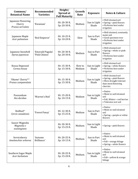| Common/<br><b>Botanical Name</b>                 | Recommended<br><b>Varieties</b>   | Height/<br>Spread at<br><b>Full Maturity</b> | Growth<br>Rate    | <b>Exposure</b>       | <b>Notes &amp; Culture</b>                                                                                 |
|--------------------------------------------------|-----------------------------------|----------------------------------------------|-------------------|-----------------------|------------------------------------------------------------------------------------------------------------|
| Japanese Flowering<br>Cherry<br>Prunus serrulata | 'Kwanzan'                         | Ht: 20-30 ft.<br>Sp: 20-30 ft.               | Medium            | Sun to Light<br>Shade | • Well-drained soil<br>• Spring-pink flowers<br>• Performs best under<br>irrigation                        |
| Japanese Maple<br>Acer palmatum                  | 'Red Emperor'                     | Ht: 10-25 ft.<br>Sp: 10-20 ft.               | Slow              | Sun to Part<br>Shade  | · Well-drained, constantly<br>moist soil<br>• Good specimen tree<br>• Performs best under<br>irrigation    |
| Japanese Snowbell<br>Styrax japonicas            | 'Emerald Pagoda'<br>'Pink Chimes' | Ht: 20-30 ft.<br>Sp: 20-30 ft.               | Medium            | Sun to Part<br>Shade  | • Well-drained soil<br>• Spring-white or pink<br>flowers<br>• Performs best under<br>irrigation            |
| Kousa Dogwood<br>Cornus kousa                    |                                   | Ht: 15-30 ft.<br>Sp: 15-30 ft.               | Slow to<br>Medium | Sun to Light<br>Shade | • Well-drained soil<br>• Spring-white flowers<br>• Performs best under<br>irrigation                       |
| 'Okame' Cherry*^<br>Prunus campanulata           |                                   | Ht: 15-30 ft.<br>Sp: 15-30 ft.               | Medium            | Sun to Light<br>Shade | • Well-drained soil<br>• Spring-pink flowers<br>• More drought tolerant<br>than most flowering<br>cherries |
| Possumhaw<br>Ilex decidua                        | 'Warren's Red'                    | Ht: 15-20 ft.<br>Sp: 10-15 ft.               | Medium            | Sun to Light<br>Shade | • Native<br>• Moist to well-drained<br>soil<br>· Fall, Winter-red berries<br>• Tolerates wet soil          |
| Redbud^<br>Cercis canadensis                     | 'Forest Pansy'                    | Ht: 12-30 ft.<br>Sp: 15-25 ft.               | Medium            | Sun to Part<br>Shade  | • Native<br>• Moist to well-drained<br>soil<br>• Spring—purple or white<br>flowers                         |
| Saucer Magnolia<br>Magnolia x<br>soulangiana     |                                   | Ht: 20-30 ft.<br>Sp: 15-25 ft.               | Medium            | Sun to Light<br>Shade | • Spring-pink flowers                                                                                      |
| Serviceberry<br>Amelanchier arborea              | 'Autumn<br>Brilliance'            | Ht: 20-25 ft.<br>Sp: 10-15 ft.               | Medium            | Sun to Part<br>Shade  | • Native<br>• Moist to well-drained<br>soil<br>• Fall-orange foliage<br>• Spring-white flowers             |
| Southern Sugar Maple<br>Acer barbatum            |                                   | Ht: 20-25 ft.<br>Sp: 15-20 ft.               | Medium            | Sun to Light<br>Shade | • Native<br>• Moist to well-drained<br>soil<br>• Fall-yellow & orange<br>foliage                           |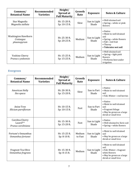| Common/<br><b>Botanical Name</b>                | Recommended<br><b>Varieties</b> | Height/<br>Spread at<br><b>Full Maturity</b> | Growth<br>Rate | <b>Exposure</b>       | <b>Notes &amp; Culture</b>                                                                                                                    |
|-------------------------------------------------|---------------------------------|----------------------------------------------|----------------|-----------------------|-----------------------------------------------------------------------------------------------------------------------------------------------|
| Star Magnolia<br>Magnolia stellata              |                                 | Ht: 15-20 ft.<br>Sp: 10-15 ft.               | Slow           | Sun to Light<br>Shade | • Well-drained soil<br>• Spring—white or pink<br>flowers                                                                                      |
| Washington Hawthorn<br>Crataegus<br>phaenopyrum |                                 | Ht: 25-30 ft.<br>Sp: 20-25 ft.               | Medium         | Sun to Light<br>Shade | $\bullet$ Native<br>• Moist to well-drained<br>soil<br>• Spring—white flowers<br>• Fall—red fruit<br>$\bullet$ Thorny<br>• Tolerates wet soil |
| Yoshino Cherry<br>Prunus x yedoensis            |                                 | Ht: 15-25 ft.<br>Sp: 15-25 ft.               | Medium         | Sun to Light<br>Shade | • Well-drained soil<br>• Spring—light pink<br>flowers<br>• Performs best under<br>irrigation                                                  |

#### <span id="page-6-0"></span>**Evergreen**

| Common/<br><b>Botanical Name</b>                  | Recommended<br><b>Varieties</b> | Height/<br>Spread at<br><b>Full Maturity</b> | Growth<br>Rate    | <b>Exposure</b>       | <b>Notes &amp; Culture</b>                                                                                                      |
|---------------------------------------------------|---------------------------------|----------------------------------------------|-------------------|-----------------------|---------------------------------------------------------------------------------------------------------------------------------|
| American Holly<br>Ilex opaca                      |                                 | Ht: 20-30 ft.<br>Sp: 15-20 ft.               | Slow              | Sun to Part<br>Shade  | • Native<br>• Moist to well-drained<br>soil<br>• Fall, Winter-red berries                                                       |
| Anise Tree<br>Illicium parviflorum                |                                 | Ht: 10-15 ft.<br>Sp: 10-15 ft.               | Fast              | Sun to Part<br>Shade  | • Native<br>• Moist to well-drained<br>soil<br>• Fragrant foliage<br>• May be grown as a large<br>shrub or small tree           |
| Carolina Cherry<br>Laurel*^<br>Prunus caroliniana |                                 | Ht: 15-30 ft.<br>Sp: 15-20 ft.               | Fast              | Sun to Light<br>Shade | $\bullet$ Native<br>• Well-drained to Xeric soil<br>• Spring—white flowers                                                      |
| Fortune's Osmanthus<br>Osmanthus fortunei         |                                 | Ht: 15-25 ft.<br>Sp: 8-10 ft.                | Medium<br>to Fast | Sun to Light<br>Shade | • Moist to well-drained<br>soil<br>• May be grown as a large<br>shrub or small tree                                             |
| Fragrant Tea Olive<br>Osmanthus fragrans          |                                 | Ht: 15-30 ft.<br>Sp: 8-15 ft.                | Medium            | Sun to Light<br>Shade | • Moist to well-drained<br>soil<br>· Fall, Winter-fragrant<br>white flowers<br>• May be grown as a large<br>shrub or small tree |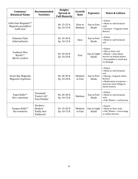| Common/<br><b>Botanical Name</b>                              | <b>Recommended</b><br><b>Varieties</b>             | Height/<br>Spread at<br><b>Full Maturity</b> | Growth<br>Rate    | <b>Exposure</b>       | <b>Notes &amp; Culture</b>                                                                                                                                |
|---------------------------------------------------------------|----------------------------------------------------|----------------------------------------------|-------------------|-----------------------|-----------------------------------------------------------------------------------------------------------------------------------------------------------|
| Little Gem Magnolia*^<br>Magnolia grandiflora<br>'Little Gem' |                                                    | Ht: 15-25 ft.<br>Sp: 10-15 ft.               | Slow to<br>Medium | Sun to Part<br>Shade  | • Native<br>• Moist to well-drained<br>soils<br>• Summer-fragrant white<br>flowers                                                                        |
| Palmetto Palm<br>Sabal palmetto                               |                                                    | Ht: 10-30 ft.<br>Sp: 10-15 ft.               | Slow              | Sun to Part<br>Shade  | • Native<br>• Moist to well-drained<br>soil                                                                                                               |
| Southern Wax<br>Myrtle*^<br>Myrica cerifera                   |                                                    | Ht: 10-20 ft.<br>Sp: 10-20 ft.               | Fast              | Sun to Light<br>Shade | • Native<br>• Wet to Xeric soil<br>· Winter-blue-black<br>berries on female plants<br>• Susceptible to wind and<br>ice damage                             |
| Sweet Bay Magnolia<br>Magnolia virginiana                     |                                                    | Ht: 20-30 ft.<br>Sp: 10-20 ft.               | Medium<br>to Fast | Sun to Part<br>Shade  | • Native<br>• Moist to well-drained<br>soil<br>• Spring-fragrant white<br>flowers<br>· Moderately evergreen-<br>may lose most foliage in<br>harsh winters |
| Topol Holly*^<br>Ilex x attenuate                             | 'Savannah'<br>'Foster's #2'<br>'East Palatka'      | Ht: 20-30 ft.<br>Sp: 10-15 ft.               | Medium            | Sun to Part<br>Shade  | • Native<br>• Moist to well-drained<br>soils<br>· Fall, Winter-red berries                                                                                |
| Yaupon Holly*^<br>Ilex vomitoria                              | 'Hoskin's<br>Shadow'<br>'Kathy Ann'<br>'Katherine' | Ht: 15-20 ft.<br>Sp: 10-15 ft.               | Medium<br>to Fast | Sun to Light<br>Shade | • Native<br>• Moist to Xeric soils<br>· Fall, Winter-red-orange<br>or yellow berries                                                                      |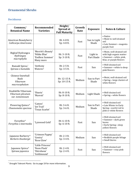## <span id="page-8-0"></span>**Ornamental Shrubs**

#### <span id="page-8-1"></span>**Deciduous**

| Common/<br><b>Botanical Name</b>                                    | Recommended<br><b>Varieties</b>                                     | Height/<br>Spread at<br><b>Full Maturity</b> | Growth<br>Rate | <b>Exposure</b>        | <b>Notes &amp; Culture</b>                                                                                 |
|---------------------------------------------------------------------|---------------------------------------------------------------------|----------------------------------------------|----------------|------------------------|------------------------------------------------------------------------------------------------------------|
| American Beautyberry<br>Callicarpa Americana                        |                                                                     | Ht: 4-8 ft.<br>Sp: 4-8 ft.                   | Fast           | Sun to Light<br>Shade  | • Native<br>• Moist to well-drained<br>soil<br>• Late Summer-magenta<br>purple fruit                       |
| Bigleaf Hydrangea<br>Hydrangea<br>macrophylla                       | 'Merritt's Beauty'<br>'Nikko Blue'<br>'Endless Summer'<br>Many more | Ht: 3-10 ft.<br>Sp: 3-10 ft.                 | Fast           | Light to<br>Part Shade | · Moist, well-drained soil<br>with high organic matter<br>· Summer-white, pink,<br>blue, or purple flowers |
| Bumald Spirea <sup>^</sup><br>Spiraea x bumalda                     | 'Anthony<br>Waterer'                                                | Ht: 2-5 ft.<br>Sp: 3-5 ft.                   | Fast           | Sun                    | • Well-drained soil<br>• Summer-white to deep<br>pink flowers                                              |
| <b>Chinese Snowball</b><br><b>Bush</b><br>Viburnum<br>macrocephalum |                                                                     | Ht: 12-15 ft.<br>Sp: 10-15 ft.               | Medium         | Sun to Part<br>Shade   | · Moist, well-drained soil<br>• Spring-large clusters of<br>white flowers                                  |
| Doublefile Viburnum<br>Viburnum plicatum<br>var. tomentosum         | 'Shasta'<br>'Maresii'                                               | Ht: 8-10 ft.<br>Sp: 8-10 ft.                 | Medium         | <b>Light Shade</b>     | • Well-drained soil<br>• Spring-white flowers                                                              |
| Flowering Quince^<br>Chaenomeles speciosa                           | 'Cameo'<br>'Jet Trail'<br>'Texas Scarlet'                           | Ht: 3-6 ft.<br>Sp: 3-6 ft.                   | Medium         | Sun to Part<br>Shade   | • Well-drained soil<br>• Late Winter to Early<br>Spring-scarlet red to<br>pink or white flowers            |
| Forsythia <sup>^</sup><br>Forsythia x intermedia                    | 'Lynwood Gold'                                                      | Ht: 6-10 ft.<br>Sp: 6-10 ft.                 | Fast           | Sun                    | • Well-drained soil<br>• Summer-dark green<br>leaves<br>• Early Spring-deep<br>yellow flowers              |
| Japanese Barberry^<br>Berberis thunbergii                           | 'Crimson Pygmy'<br>'Gentry'<br>'Rose Glow'                          | Ht: 2-3 ft.<br>Sp: 3-4 ft.                   | Medium         | Sun                    | • Well-drained soil<br>• Reddish-purple foliage<br>• Small thorns                                          |
| Japanese Spirea^<br>Spiraea japonica                                | 'Little Princess'<br>'Neon Flash'<br>'Shirobana'<br>'Goldmound'     | Ht: 2-4 ft.<br>Sp: 2-4 ft.                   | Fast           | Sun                    | • Well-drained soil<br>• Summer-rosy pink<br>flowers                                                       |

 $^{\wedge}$  Drought Tolerant Plants: Go to page 19 for more information.

 $\overline{\phantom{a}}$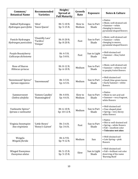| Common/<br><b>Botanical Name</b>                  | Recommended<br><b>Varieties</b>           | Height/<br>Spread at<br><b>Full Maturity</b> | Growth<br>Rate    | <b>Exposure</b>       | <b>Notes &amp; Culture</b>                                                                                          |
|---------------------------------------------------|-------------------------------------------|----------------------------------------------|-------------------|-----------------------|---------------------------------------------------------------------------------------------------------------------|
| Oakleaf Hydrangea<br>Hydrangea quercifolia        | 'Alice'<br>'Snow Queen'                   | Ht: 5-10 ft.<br>Sp: 5-15 ft.                 | Slow to<br>Medium | Sun to Part<br>Shade  | • Native<br>· Moist, well-drained soil.<br>• Summer-white<br>changing to mauve,<br>pyramidal shaped flowers         |
| Panicle Hydrangea<br>Hydrangea paniculata         | 'Chantilly Lace'<br>'Tardiva'<br>'Unique' | Ht: 8-20 ft.<br>Sp: 8-20 ft.                 | Fast              | Sun to Part<br>Shade  | • Moist, well-drained soil<br>• Summer-white<br>changing to mauve,<br>pyramidal shaped flowers                      |
| <b>Purple Beautyberry</b><br>Callicarpa dichotoma |                                           | Ht: 4-5 ft.<br>Sp: 5-8 ft.                   | Fast              | Sun to Light<br>Shade | • Well-drained soil<br>• Summer-lilac/violet<br>fruit                                                               |
| Rose of Sharon<br>Hibiscus syriacus               |                                           | Ht: 8-12 ft.<br>Sp: 6-10 ft.                 | Medium            | Sun to Part<br>Shade  | · Moist, well-drained soil.<br>• Summer-white to red<br>to purple/violet flowers                                    |
| 'Snowmound' Spirea^<br>Spiraea nipponica          | 'Snowmound'                               | Ht: 3-5 ft.<br>Sp: 4-5 ft.                   | Medium            | Sun to Part<br>Shade  | • Well-drained soil<br>· Small, blue-green leaves<br>• Early Summer-white<br>flowers                                |
| Summersweet<br>Clethra alnifolia                  | 'Sixteen Candles'<br>'Hummingbird'        | Ht: 4-8 ft.<br>Sp: 4-6 ft.                   | Slow to<br>Medium | Sun to Part<br>Shade  | • Native<br>• Moist to wet acid soil<br>• Summer-very fragrant,<br>white flowers                                    |
| Vanhoutte Spirea^<br>Spiraea x vanhouttei         |                                           | Ht: 6-10 ft.<br>Sp: 10-12 ft.                | Medium            | Sun to Part<br>Shade  | • Well-drained soil<br>• Vase shaped plant<br>• Spring—very showy<br>white flowers                                  |
| Virginia Sweetspire<br>Itea virginiana            | 'Little Henry'<br>'Henry's Garnet'        | Ht: 3-6 ft.<br>Sp: 3-6 ft.                   | Fast              | Sun to Part<br>Shade  | • Native<br>• Wet to well-drained soil<br>• Spring-white flowers<br>· Fall-excellent color<br>• Tolerates wet sites |
| Weigela<br>Weigela florida                        |                                           | Ht: 6-9 ft.<br>Sp: 9-12 ft.                  | Medium            | Sun                   | • Well-drained soil<br>• Late Spring-pink<br>flowers                                                                |
| <b>Winged Euonymus</b><br>Euonymus alatus         |                                           | Ht: 5-15 ft.<br>Sp: 5-15 ft.                 | Slow              | Sun to Light<br>Shade | • Well-drained soil<br>· Fall-brilliant red color<br>deserving of the name<br>'Burning Bush'                        |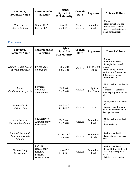| Common/<br><b>Botanical Name</b> | Recommended<br><b>Varieties</b> | Height/<br>Spread at<br><b>Full Maturity</b> | Growth<br>Rate    | <b>Exposure</b>      | <b>Notes &amp; Culture</b>                                                                                               |
|----------------------------------|---------------------------------|----------------------------------------------|-------------------|----------------------|--------------------------------------------------------------------------------------------------------------------------|
| Winterberry<br>Ilex verticillata | 'Winter Red'<br>'Red Sprite'    | Ht: $6-10$ ft.<br>$Sp: 8-15$ ft.             | Slow to<br>Medium | Sun to Part<br>Shade | $\bullet$ Native<br>• Moist to wet acid soil<br>• Winter—red berries<br>(requires male & female<br>plants for fruit set) |

#### <span id="page-10-0"></span>**Evergreen**

| Common/<br><b>Botanical Name</b>                             | Recommended<br><b>Varieties</b>                                         | Height/<br>Spread at<br><b>Full Maturity</b> | Growth<br>Rate | <b>Exposure</b>        | <b>Notes &amp; Culture</b>                                                                                                                                                      |
|--------------------------------------------------------------|-------------------------------------------------------------------------|----------------------------------------------|----------------|------------------------|---------------------------------------------------------------------------------------------------------------------------------------------------------------------------------|
| Adam's Needle Yucca^<br>Yucca filamentosa                    | 'Bright Edge'<br>'Colorguard'                                           | Ht: $2-3$ ft.<br>Sp: 2-3 ft.                 | Medium         | Sun to Light<br>Shade  | $\bullet$ Native<br>• Well-drained soil<br>• Drought, heat, & salt<br>tolerant<br>• Late Spring-white<br>panicle type flowers rise<br>2-3 ft. above foliage<br>• Deer resistant |
| Azalea<br>Rhododendron hybrids                               | 'Formosa'<br>'Coral Bells'<br>Many others                               | Ht: 2-6 ft.<br>Sp: 2-4 ft.                   | Medium         | Light to<br>Part Shade | · Moist, well-drained soil a<br>must<br>• 'Encore' TM varieties<br>bloom spring, summer, &<br>fall                                                                              |
| Banana Shrub<br>Michelia figo                                |                                                                         | Ht: 5-10 ft.<br>Sp: 5-10 ft.                 | Medium         | Sun                    | · Moist, well-drained acid<br>soil<br>• Spring-small, creamy<br>white flowers that smell<br>like ripe bananas                                                                   |
| Cape Jasmine<br>Gardenia jasminoides                         | 'Chuck Hayes'<br>'August Beauty'<br>'Frost Proof'                       | Ht: 3-8 ft.<br>Sp: 3-8 ft.                   | Medium         | Sun to Part<br>Shade   | · Moist, well-drained acid<br>soil<br>• Deer resistant                                                                                                                          |
| Chindo Viburnum <sup>^</sup><br>Viburnum awabuki<br>'Chindo' |                                                                         | Ht: 10-15 ft.<br>Sp: 6-8 ft.                 | Medium         | Sun to Part<br>Shade   | • Well-drained soil<br>• Large, dark green glossy<br>leaves                                                                                                                     |
| Chinese Holly<br>Ilex cornuta                                | 'Carissa'<br>'Needlepoint'<br>'Rotunda'<br>'Burfordi'<br>'Dwarf Buford' | Ht: 4-15 ft.<br>Sp: 5-12 ft.                 | Medium         | Sun to Part<br>Shade   | • Well-drained soil<br>• Drought & heat tolerant<br>· Green, glossy spined<br>leaves<br>• Winter-red berries                                                                    |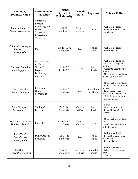| Common/<br><b>Botanical Name</b>                         | Recommended<br><b>Varieties</b>                                                                      | Height/<br>Spread at<br><b>Full Maturity</b> | Growth<br>Rate    | <b>Exposure</b>        | <b>Notes &amp; Culture</b>                                                                                                                                                    |
|----------------------------------------------------------|------------------------------------------------------------------------------------------------------|----------------------------------------------|-------------------|------------------------|-------------------------------------------------------------------------------------------------------------------------------------------------------------------------------|
| Chinese Juniper <sup>^</sup><br>Juniperus chinensus      | 'Compacta'<br>'Spartan'<br>'Robusta green'<br>'Hetzii'<br>'Sargentii'<br>'Pfitzeriana'<br>'Torulosa' | Ht: 3-20 ft.<br>Sp: 3-12 ft.                 | Slow to<br>Medium | Sun                    | • Well-drained soil<br>• Drought tolerant once<br>established                                                                                                                 |
| <b>Chinese Podocarpus</b><br>Podocarpus<br>macrophylllus | 'Maki'                                                                                               | Ht: 10-15 ft.<br>Sp: 5-6 ft.                 | Slow              | Sun to<br>Shade        | • Well-drained soil<br>• Deer resistant                                                                                                                                       |
| Common Camellia<br>Camellia japonica                     | 'Marie Bracie'<br>'Professor<br>Charles S.<br>Sargent'<br>'Dr. Tinsley<br>Many more                  | Ht: 5-15 ft.<br>Sp: 5-15 ft.                 | Slow              | Sun to<br>Shade        | • Well-drained acid soil<br>that is high in organic<br>matter<br>• Winter to Early Spring<br>blooms<br>• Many varieties available<br>in white, pink, & red                    |
| Dwarf Aucuba<br>Aucuba japonica                          | 'Gold Dust'<br>'Nana'<br>'Serratifolia'                                                              | Ht: 5-10 ft.<br>Sp: 4-8 ft.                  | Slow              | Part Shade<br>to Shade | · Moist, well-drained acid<br>soil that is high in organic<br>matter<br>• Large green, glossy<br>leaves with a tropical look<br>· 'Gold Dust' has yellow,<br>speckled foliage |
| Dwarf Yaupon <sup>^</sup><br>Ilex vomitoria              | 'Shillings'<br>'Bordeaux'                                                                            | Ht: 3-5 ft.<br>Sp: 4-5 ft.                   | Medium<br>to Fast | Sun to<br>Shade        | • Native<br>• Moist to Xeric soils<br>· Drought, heat, & salt<br>tolerant                                                                                                     |
| <b>Emerald Arborvitae</b><br>Thuja occidentalis          | 'Emerald'                                                                                            | Ht: 10-15 ft.<br>Sp: 3-4 ft.                 | Slow to<br>Medium | Sun                    | · Moist, well-drained acid<br>soil<br>· Good specimen, accent,<br>or hedge plant                                                                                              |
| False Yew^<br>Cephalotaxis<br>harringtonia               | 'Duke Gardens'<br>'Prostrata'                                                                        | Ht: 3-4 ft.<br>Sp: 6-8 ft.                   | Slow              | Sun to<br>Shade        | • Well-drained soil<br>• Drought tolerant once<br>established<br>• Deer resistant                                                                                             |
| Firethorn<br>Pyracantha coccinea                         |                                                                                                      | Ht: 6-18 ft.<br>Sp: 6-18 ft.                 | Medium<br>to Fast | Sun to Part<br>Shade   | • Well-drained soil<br>• Winter-red or orange<br>berries<br>• Thorny                                                                                                          |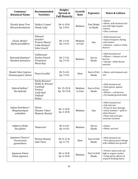| Common/<br><b>Botanical Name</b>                 | Recommended<br><b>Varieties</b>                                                                           | Height/<br>Spread at<br><b>Full Maturity</b> | Growth<br>Rate    | <b>Exposure</b>        | <b>Notes &amp; Culture</b>                                                                                                                                   |
|--------------------------------------------------|-----------------------------------------------------------------------------------------------------------|----------------------------------------------|-------------------|------------------------|--------------------------------------------------------------------------------------------------------------------------------------------------------------|
| Florida Anise Tree<br><b>Illicium</b> floridanum | 'Halley's Comet'<br>'Shady Lady'                                                                          | Ht: 6-10 ft.<br>Sp: 5-8 ft.                  | Medium            | Part Shade<br>to Shade | • Native<br>· Moist, well-drained acid<br>soil with high organic<br>content<br>• Deer resistant                                                              |
| Glossy Abelia^<br>Abelia grandiflora             | 'Edward<br>Goucher'<br>'Francis Mason'<br>'Little Richard'<br>'John Creech'                               | Ht: 3-6 ft.<br>Sp: 3-6 ft.                   | Medium<br>to Fast | Sun                    | • Well-drained soil<br>• Semi evergreen during<br>cold winters<br>• Summer-pink or white<br>flowers                                                          |
| Heavenly Bamboo^<br>Nandina domestica            | 'Gulfstream'<br>'Harbor Dwarf'<br>'Firepower'<br>'Moon Bay'                                               | Ht: 2-5 ft.<br>Sp: 2-4 ft.                   | Medium            | Sun to<br>Shade        | • Well-drained soil<br>• Winter-clusters of red<br>berries<br>• Spring-white flower<br>panicles                                                              |
| Hinoki False Cypress<br>Chamaecyparis obtuse     | 'Nana Gracillis'                                                                                          | Ht: 5-6 ft.<br>Sp: 3-4 ft.                   | Slow              | Sun to Part<br>Shade   | · Moist, well-drained acid<br>soil                                                                                                                           |
| Hybrid Hollies^<br>Ilex hybrids                  | 'Emily Brunner'<br>'Nellie R. Stevens'<br>'Cardinal'<br>'Festive'<br>'Little Red'<br>'Oakleaf'<br>'Robin' | Ht: 15-25 ft.<br>Sp: 10-15 ft.               | Medium<br>to Fast | Sun to Part<br>Shade   | • Well-drained soil<br>• Dark green, spined<br>leaves<br>· Winter-red berries<br>• Pyramidal growth habit                                                    |
| Indian Hawthorn^<br>Rhaphaeolepsis<br>umballata  | 'Olivia'<br>'Eleanor Tabor'<br>'Majestic Beauty'                                                          | Ht: 2-10 ft.<br>Sp: 4-10 ft.                 | Medium            | Sun                    | • Well-drained soil<br>• Salt tolerant<br>• Prone to deer damage<br>• Early Summer-pink or<br>white flowers<br>• Plant only leaf spot<br>resistant varieties |
| <b>Inkberry Holly</b><br>Ilex glabra             | 'Shamrock'                                                                                                | Ht: 4-6 ft.<br>Sp: 4-6 ft.                   | Medium            | Sun to<br>Shade        | • Native<br>· Moist, acid soil                                                                                                                               |
| Japanese Cleyera^<br>Ternstromia<br>gymnathera   | 'Bronze Beauty'<br>'Jade Tiara'                                                                           | Ht: 8-12 ft.<br>Sp: 5-7 ft.                  | Slow              | Sun to Full<br>Shade   | • Well-drained soil<br>• Very glossy green foliage<br>with reddish new growth                                                                                |
| Japanese Fatsia<br>Fatsia japonica               |                                                                                                           | Ht: 6-10 ft.<br>Sp: 6-10 ft.                 | Medium            | Part to Full<br>Shade  | • Prefers moist acid soil<br>high in organic matter<br>· Large green, glossy, &<br>tropical-looking leaves                                                   |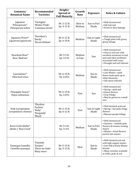| Common/<br><b>Botanical Name</b>               | Recommended<br><b>Varieties</b>                         | Height/<br>Spread at<br><b>Full Maturity</b> | Growth<br>Rate    | <b>Exposure</b>       | <b>Notes &amp; Culture</b>                                                                                                                                       |
|------------------------------------------------|---------------------------------------------------------|----------------------------------------------|-------------------|-----------------------|------------------------------------------------------------------------------------------------------------------------------------------------------------------|
| Japanese<br>Pittosporum^<br>Pittosporum tobira | 'Variegata'<br>'Winter Pride'<br>'Louisiana Green'      | Ht: 2-12 ft.<br>Sp: 4-12 ft.                 | Slow to<br>Medium | Sun to Part<br>Shade  | • Well-drained soil<br>• Salt tolerant<br>• Prone to deer damage                                                                                                 |
| Japanese Privet^<br>Ligustrum japonicum        | 'Davidson's<br>Hardy'<br>'Recurvifolium'                | Ht: 6-12 ft.<br>Sp: 6-10 ft.                 | Medium            | Sun to Light<br>Shade | • Well-drained soil<br>• Tough plant with green,<br>glossy foliage                                                                                               |
| Knockout Rose^<br>Rosa 'Radrazz'               |                                                         | Ht: 3-5 ft.<br>Sp: 3-5 ft.                   | Medium<br>to Fast | Sun                   | • Well-drained soil<br>• Cherry-red rose with<br>excellent resistance to leaf<br>spot and other problems<br>associated with roses<br>• Drought and salt tolerant |
| Laurustinus <sup>^</sup><br>Viburnum tinus     |                                                         | Ht: 6-10 ft.<br>Sp: 6-8 ft.                  | Medium            | Sun to<br>Shade       | • Well-drained soil<br>• Late Winter-pink<br>flower buds open up to<br>white blossoms<br>• Salt spray tolerant                                                   |
| Pineapple Guava^<br>Feijoa sellowiana          |                                                         | Ht: 6-10 ft.<br>Sp: 5-8 ft.                  | Fast              | Sun                   | • Well-drained soil<br>• Spring-pink and<br>crimson flowers<br>• Gray foliage<br>• May be grown as a small<br>tree                                               |
| Pink Loropetalum<br>Loropetalum chinense       | 'Zhuzhou<br>Fuchsia'<br>'Ruby'<br>'Burgandy'<br>'Blush' | Ht: 6-15 ft.<br>Sp: 6-12 ft.                 | Fast              | Shade                 | · Well-drained, acid soil<br>Sun to Light   • Spring-hot pink, fringy<br>flowers<br>• Maroon-purple foliage                                                      |
| Rose Creek Abelia^<br>Abelia x 'Rose Creek'    |                                                         | Ht: 3-4 ft.<br>Sp: 3-4 ft.                   | Medium            | Sun to Part<br>Shade  | • Well-drained soil<br>· Summer-whitish-pink<br>flowers all season, turning<br>mauve<br>· Winter-dried flowers<br>persist into season                            |
| Sasanqua Camellia<br>Camellia sasanqua         | 'Yuletide'<br>'Kanjiro'<br>'Show-no-Sake'<br>Many more  | Ht: 5-15 ft.<br>Sp: 5-15 ft.                 | Slow              | Sun to<br>Shade       | • Well-drained acid soil<br>with high organic matter<br>• Late Fall to Early Winter<br>blooms<br>• Many varieties available<br>in white, pink, & red             |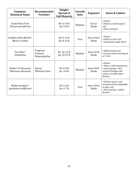| Common/<br><b>Botanical Name</b>                | Recommended<br><b>Varieties</b>            | Height/<br>Spread at<br><b>Full Maturity</b> | Growth<br>Rate | <b>Exposure</b>      | <b>Notes &amp; Culture</b>                                                                                                   |
|-------------------------------------------------|--------------------------------------------|----------------------------------------------|----------------|----------------------|------------------------------------------------------------------------------------------------------------------------------|
| <b>Small Anise Tree</b><br>Illicium parviflorum |                                            | Ht: 6-10 ft.<br>Sp: 5-8 ft.                  | Medium         | Sun to<br>Shade      | $\bullet$ Native<br>• Moist to well-drained<br>soil<br>• Deer resistant                                                      |
| Southern Wax Myrtle^<br>Myrica cerifera         |                                            | Ht: 8-15 ft.<br>Sp: 8-15 ft.                 | Fast           | Sun to Part<br>Shade | • Native<br>• Moist to Xeric soil<br>• Extremely tough shrub                                                                 |
| Tea Olive^<br><b>Osmanthus</b>                  | 'Fragrans'<br>'Forunei'<br>'Heterophyllus' | Ht: 10-15 ft.<br>Sp: 10-15 ft.               | Medium         | Sun to Part<br>Shade | • Well-drained soil<br>• Can be easily maintained<br>at $5-6$ ft.                                                            |
| Walter's Virburnum<br>Viburnum obovatum         | 'Densa'<br>'Whorled Class'                 | Ht: 4-8 ft.<br>Sp: 3-8 ft.                   | Medium         | Sun to Part<br>Shade | • Native<br>• Wet to well-drained soil<br>• Early Spring-fine-<br>textured foliage with<br>cluster of small white<br>flowers |
| Winter Jasmine^<br>Jasminum nudiflorum          |                                            | Ht: 3-4 ft.<br>Sp: 4-7 ft.                   | Fast           | Sun to Part<br>Shade | · Prefers moist, well-<br>drained soil but adaptable<br>to poor soil<br>• Early spring-yellow<br>flowers                     |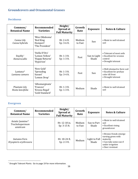## <span id="page-15-0"></span>**Groundcovers and Ornamental Grasses**

#### <span id="page-15-1"></span>**Deciduous**

| Common/<br><b>Botanical Name</b>       | Recommended<br><b>Varieties</b>                                   | Height/<br>Spread at<br><b>Full Maturity</b> | Growth<br>Rate    | <b>Exposure</b>       | <b>Notes &amp; Culture</b>                                                                        |
|----------------------------------------|-------------------------------------------------------------------|----------------------------------------------|-------------------|-----------------------|---------------------------------------------------------------------------------------------------|
| Canna Lily<br>Canna hybrids            | 'Miss Oklahoma'<br>'Red King<br>Humpert'<br>'The President'       | $Ht: 2-6 ft.$<br>Sp: 3-6 ft.                 | Medium<br>to Fast | Sun                   | • Moist to well-drained<br>soil                                                                   |
| Daylily $\hat{}$<br>Hemerocallis       | 'Stella D'Oro'<br>'Lemon Yellow'<br>'Happy Returns'<br>'Hyperion' | $Ht: 1-3 ft.$<br>Sp: 1-3 ft.                 | Fast              | Sun to Light<br>Shade | • Tolerant of most soils<br>• Excellent for erosion<br>control<br>• Drought tolerant              |
| Lantana <sup>^</sup><br>Lantana camara | 'New Gold'<br>'Spreading<br>Sunset'<br>'Lemon Drop'               | Ht: 1-3 ft.<br>Sp: 3-4 ft.                   | Fast              | Sun                   | • Well-drained to Xeric soil<br>• Excellent for profuse<br>color till frost<br>• Drought tolerant |
| Plantain Lily<br>Hosta lancifolia      | 'Albomarginata'<br>'Francee'<br>'Krossa Regal'<br>'Gold Standard' | Ht: 1-3 ft.<br>Sp: 1-3 ft.                   | Medium            | Shade                 | • Moist to well-drained<br>soil                                                                   |

#### <span id="page-15-2"></span>**Evergreen**

 $\overline{\phantom{a}}$ 

| Common/<br><b>Botanical Name</b>                             | Recommended<br><b>Varieties</b> | Height/<br>Spread at<br><b>Full Maturity</b> | Growth<br>Rate    | <b>Exposure</b>        | <b>Notes &amp; Culture</b>                                                                                                         |
|--------------------------------------------------------------|---------------------------------|----------------------------------------------|-------------------|------------------------|------------------------------------------------------------------------------------------------------------------------------------|
| Asiatic Jasmine <sup>^</sup><br>Trachelospermum<br>asiaticum |                                 | Ht: 12-18 in.<br>Sp: 3-15 ft.                | Medium<br>to Fast | Sun to Part<br>Shade   | • Moist to well-drained<br>soil<br>• Excellent vining<br>groundcover                                                               |
| Autumn Fern<br>Dryopteris erythrosora                        |                                 | Ht: 18-24 ft.<br>Sp: 2-3 ft.                 | Medium            | Light to Full<br>Shade | • Bronze fronds emerge<br>turning green with<br>maturity<br>$\bullet$ Can take some sun if<br>under irrigation<br>• Deer resistant |

 $^{\wedge}$  Drought Tolerant Plants: Go to page 19 for more information.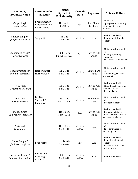| Common/<br><b>Botanical Name</b>                    | Recommended<br><b>Varieties</b>                       | Height/<br>Spread at<br><b>Full Maturity</b> | Growth<br>Rate    | <b>Exposure</b>        | <b>Notes &amp; Culture</b>                                                                                 |
|-----------------------------------------------------|-------------------------------------------------------|----------------------------------------------|-------------------|------------------------|------------------------------------------------------------------------------------------------------------|
| <b>Carpet Bugle</b><br>Ajuga reptans                | 'Bronze Beauty'<br>'Burgundy Glow'<br>'Black Scallop' | Ht: 3-4 in.<br>Sp: 24 in.                    | Fast              | Part Shade<br>to Shade | • Moist soil<br>• Spring-low spreading<br>with lavender-blue<br>flowers                                    |
| Chinese Juniper <sup>^</sup><br>Juniperus chinensis | 'Sargentii'                                           | Ht: 1 ft.<br>Sp: 6-8 ft.                     | Medium            | Sun                    | • Well-drained soil<br>• Heather and drought<br>tolerant                                                   |
| Creeping Lily Turf^<br>Liriope spicata              |                                                       | Ht: 6-12 in.<br>Sp: indeterminate            | Fast              | Part to Full<br>Shade  | • Moist to well-drained<br>soil<br>• Rapidly spreading<br>groundcover<br>• Excellent erosion control       |
| Heavenly Bamboo^<br>Nandina domestica               | 'Harbor Dwarf'<br>'Harbor Belle'                      | Ht: 2-3 ft.<br>Sp: 2-3 ft.                   | Medium            | Sun to Part<br>Shade   | • Moist to well-drained<br>soil<br>• Green foliage with red<br>new growth                                  |
| <b>Holly Fern</b><br>Cyrtomium falcatum             |                                                       | Ht: 2-3 ft.<br>Sp: 2-3 ft.                   | Medium            | Part to Full<br>Shade  | • Well-drained soil<br>• More drought tolerant<br>than most ferns<br>• Deer resistant                      |
| Lily Turf^<br>Liriope muscari                       | 'Big Blue'<br>'Variegata'<br>'Cleopatra'              | Ht: 1-2 ft.<br>Sp: 12-18 in.                 | Medium            | Sun to Part<br>Shade   | • Moist to well-drained<br>soil<br>• Drought tolerant                                                      |
| Mondo Grass<br>Ophiopogon japonicas                 |                                                       | Ht: 6-8 in.<br>Sp: 8-12 in.                  | Slow              | Part to Full<br>Shade  | • Well-drained soil<br>• Dark green foliage<br>similar to Liriope with a<br>narrower, bladed leaf          |
| Periwinkle<br>Vinca minor                           |                                                       | Ht: 5-8 in.<br>Sp: 3-4 ft.                   | Medium<br>to Fast | Shade                  | • Moist to well-drained<br>soil<br>• Excellent under trees<br>and shady banks                              |
| Shore Juniper <sup>^</sup><br>Juniperus conferta    | 'Blue Pacific'                                        | Ht: 12-18 in.<br>Sp: 6-8 ft.                 | Fast              | Sun                    | • Well-drained soil<br>• Heat, drought, & salt<br>tolerant<br>• Excellent for erosion<br>control on slopes |
| Spreading Juniper^<br>Juniperus horizontalis        | 'Bar Harbor'<br>'Blue Rug'<br>'Andorra'               | Ht: 6-18 in.<br>Sp: 3-5 ft.                  | Medium<br>to Fast | Sun                    | • Well-drained soil                                                                                        |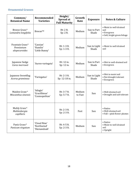#### <span id="page-17-0"></span>**Ornamental Grasses**

| Common/<br><b>Botanical Name</b>               | Recommended<br><b>Varieties</b>             | Height/<br>Spread at<br><b>Full Maturity</b> | Growth<br>Rate    | <b>Exposure</b>       | <b>Notes &amp; Culture</b>                                                     |
|------------------------------------------------|---------------------------------------------|----------------------------------------------|-------------------|-----------------------|--------------------------------------------------------------------------------|
| Breeze Grass^<br>Lomandra longifolia           | Breeze™                                     | Ht: 2 ft.<br>Sp: 2 ft.                       | Medium            | Sun to Part<br>Shade  | • Moist to well-drained<br>soil<br>• Evergreen<br>· Soft, bright green foliage |
| Fountain Grass^<br>Pennisetum<br>alopecuroides | 'Cassian'<br>'Hamlin'<br>'Little Bunny'     | Ht: 1-3 ft.<br>Sp: 1-3 ft.                   | Medium            | Sun to Light<br>Shade | • Moist to well-drained<br>soil                                                |
| Japanese Sedge<br>Carex morrowii               | 'Aureo-variegata'                           | Ht: 12 in.<br>Sp: 12 in.                     | Medium            | Sun to Part<br>Shade  | • Wet to well-drained soil<br>• Evergreen                                      |
| Japanese Sweetflag<br>Acorus gramineus         | 'Variegatus'                                | Ht: 2-3 ft.<br>Sp: 12-18 in.                 | Medium            | Sun to Light<br>Shade | • Wet to moist soil<br>• Not drought tolerant<br>• Evergreen                   |
| Maiden Grass^<br>Miscanthus sinensis           | 'Adagio'<br>'Gracillimus'<br>'Cosmopolitan' | Ht: 3-7 ft.<br>Sp: 5-7 ft.                   | Medium<br>to Fast | Sun                   | • Well-drained soil<br>• Drought and salt tolerant                             |
| Muhly Grass^<br>Muhlenbergia<br>capillaris     |                                             | Ht: 2-3 ft.<br>Sp: 2-3 ft.                   | Fast              | Sun                   | • Native<br>· Well-drained soil<br>• Fall-pink flower plumes                   |
| Panic Grass^<br>Panicum virgatum               | 'Cloud Nine'<br>'Northwind'<br>'Shenandoah' | Ht: 4-5 ft.<br>Sp: 2-3 ft.                   | Medium            | Sun                   | • Native<br>• Moist to well-drained<br>soil<br>• Upright                       |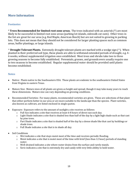#### <span id="page-18-0"></span>**More Information**

#### <span id="page-18-1"></span>**Footnotes**

\* **Trees Recommended for limited root zone areas.** The trees indicated with an asterisk (\*) are most likely to be successful in limited root zone areas (parking lot islands, sidewalk cut-outs). Other trees in the list are great for our area (e.g. Red Maple, American Beech) but are not suited to growing in parking lots. This does not mean that they should not be considered for larger planting spaces such as common areas, buffer plantings, or large islands.

^ **Drought Tolerant Plants.** Extremely drought tolerant plants are marked with a wedge sign (^). When planted in their preferred soil type, these plants are able to withstand extended periods of drought, e.g. 4- 6 weeks, without supplemental irrigation once established. Most trees and shrubs take two to three growing seasons to become fully established. Perennials, grasses, and groundcovers usually require one to two seasons to become established. Regular supplemental water should be provided until plants become established.

#### <span id="page-18-2"></span>**Notes**

- Native: Plants native to the Southeastern USA. These plants are endemic to the southeastern United States from Virginia to eastern Texas.
- Mature Size: Mature sizes of all plants are given as height and spread, though it may take many years to reach these dimensions. Mature size can vary depending on growing conditions.
- Recommended Varieties: For many plants, recommended varieties are given. These are selections of that plant that either perform better in our area or are more suitable to the landscape than the species. Plant varieties, also known as cultivars, are listed enclosed in single quotes.
- Exposure: Exposure refers to the amount of sunlight a site receives as follows:
	- $\circ$  Full Sun indicates a site that receives at least 6-8 hours of direct sun each day.
	- o Light Shade indicates a site that is shaded less than half of the day by a light high shade such as that cast by pine trees.
	- o Part Shade indicates a site that is shaded half of the day by a dense shade like that cast by buildings or shade trees.
	- o Full Shade indicates a site that is in shade all day.
- Soil Conditions
	- o Wet indicates a site that stays moist most of the time and receives periodic flooding.
	- $\circ$  Moist indicates a site that is moist most of the time with brief (less than 12 hour) periods of standing water.
	- $\circ$  Well-drained indicates a site where water drains from the surface and rarely stands.
	- o Xeric indicates a site that is extremely dry and sandy with very little ability to hold water.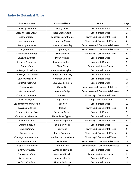## <span id="page-19-0"></span>**Index by Botanical Name**

| <b>Botanical Name</b>     | <b>Common Name</b>        | <b>Section</b>                               | Page             |
|---------------------------|---------------------------|----------------------------------------------|------------------|
| Abelia grandiflora        | Glossy Abelia             | <b>Ornamental Shrubs</b>                     | 13               |
| Abelia x 'Rose Creek'     | Rose Creek Abelia         | <b>Ornamental Shrubs</b>                     | 14               |
| Acer barbatum             | Southern Sugar Maple      | Flowering & Ornamental Trees                 | 6                |
| Acer palmatum             | Japanese Maple            | Flowering & Ornamental Trees                 | 6                |
| Acorus gramineus          | Japanese Sweetflag        | <b>Groundcovers &amp; Ornamental Grasses</b> | 18               |
| Ajuga reptans             | Carpet Bugle              | Groundcovers & Ornamental Grasses            | 17               |
| Amelanchier arborea       | Serviceberry              | Flowering & Ornamental Trees                 | 6                |
| Aucuba japonica           | Dwarf Aucuba              | <b>Ornamental Shrubs</b>                     | 12               |
| Berberis thunbergii       | Japanese Barberry         | <b>Ornamental Shrubs</b>                     | 9                |
| Betula nigra              | <b>River Birch</b>        | Canopy and Shade Trees                       | 3                |
| Callicarpa Americana      | American Beautyberry      | <b>Ornamental Shrubs</b>                     | 9                |
| Callicarpa Dichotoma      | Purple Beautyberry        | <b>Ornamental Shrubs</b>                     | 10               |
| Camellia japonica         | Common Camellia           | <b>Ornamental Shrubs</b>                     | 12               |
| Camellia sasanqua         | Sasanqua Camellia         | <b>Ornamental Shrubs</b>                     | 14               |
| Canna hybrids             | Canna Lily                | <b>Groundcovers &amp; Ornamental Grasses</b> | 16               |
| Carex morrowii            | Japanese Sedge            | <b>Groundcovers &amp; Ornamental Grasses</b> | 18               |
| Carpinus caroliniana      | Ironwood                  | Flowering & Ornamental Trees                 | 5                |
| Celtis laevigata          | Sugarberry                | Canopy and Shade Trees                       | 4                |
| Cephalotaxis harringtonia | <b>False Yew</b>          | <b>Ornamental Shrubs</b>                     | 12               |
| Cercis Canadensis         | Redbud                    | Flowering & Ornamental Trees                 | 6                |
| Chaenomeles speciosa      | <b>Flowering Quince</b>   | <b>Ornamental Shrubs</b>                     | 9                |
| Chamaecyparis obtusa      | Hinoki False Cypress      | <b>Ornamental Shrubs</b>                     | 13               |
| Chionanthus retusus       | <b>Chinese Fringetree</b> | Flowering & Ornamental Trees                 | 5                |
| Clethra alnifolia         | Summersweet               | <b>Ornamental Shrubs</b>                     | 10               |
| Cornus florida            | Dogwood                   | Flowering & Ornamental Trees                 | 5                |
| Cornus kousa              | Kousa Dogwood             | Flowering & Ornamental Trees                 | $\boldsymbol{6}$ |
| Crataegus phaenopyrum     | Washington Hawthorn       | Flowering & Ornamental Trees                 | $\overline{7}$   |
| Cyrtomium falcatum        | Holly Fern                | Groundcovers & Ornamental Grasses            | 17               |
| Dryopteris erythrosora    | Autumn Fern               | <b>Groundcovers &amp; Ornamental Grasses</b> | 16               |
| Euonymus alatus           | Winged Euonymus           | <b>Ornamental Shrubs</b>                     | 10               |
| Fagus grandiflora         | American Beech            | Canopy and Shade Trees                       | 3                |
| Fatsia japonica           | Japanese Fatsia           | <b>Ornamental Shrubs</b>                     | 13               |
| Feijoa sellowiana         | Pineapple Guava           | <b>Ornamental Shrubs</b>                     | 14               |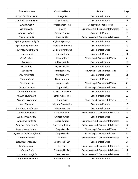| <b>Botanical Name</b>         | <b>Common Name</b>        | <b>Section</b>                               | Page           |
|-------------------------------|---------------------------|----------------------------------------------|----------------|
| Forsythia x intermedia        | Forsythia                 | <b>Ornamental Shrubs</b>                     | 9              |
| Gardenia jasminoides          | Cape Jasmine              | <b>Ornamental Shrubs</b>                     | 11             |
| Gingko biloba                 | <b>Maidenhair Tree</b>    | Canopy and Shade Trees                       | 3              |
| Hemerocallis                  | Daylily                   | <b>Groundcovers &amp; Ornamental Grasses</b> | 16             |
| <b>Hibiscus syriacus</b>      | Rose of Sharon            | <b>Ornamental Shrubs</b>                     | 10             |
| Hosta lancifolia              | Plantain Lily             | <b>Groundcovers &amp; Ornamental Grasses</b> | 16             |
| Hydrangea macrophylla         | <b>Bigleaf Hydrangea</b>  | <b>Ornamental Shrubs</b>                     | 9              |
| Hydrangea paniculata          | Panicle Hydrangea         | <b>Ornamental Shrubs</b>                     | 10             |
| Hydrangea quercifolia         | Oakleaf Hydrangea         | <b>Ornamental Shrubs</b>                     | 10             |
| Ilex cornuta                  | <b>Chinese Holly</b>      | <b>Ornamental Shrubs</b>                     | 11             |
| Ilex deciduas                 | Possumhaw                 | Flowering & Ornamental Trees                 | 6              |
| Ilex glabra                   | Inkberry Holly            | <b>Ornamental Shrubs</b>                     | 13             |
| Ilex hybrids                  | <b>Hybrid Hollies</b>     | <b>Ornamental Shrubs</b>                     | 13             |
| Ilex opaca                    | American Holly            | Flowering & Ornamental Trees                 | $\overline{7}$ |
| Ilex verticillata             | Winterberry               | <b>Ornamental Shrubs</b>                     | 11             |
| Ilex vomitoria                | Dwarf Yaupon              | <b>Ornamental Shrubs</b>                     | 12             |
| Ilex vomitoria                | Yaupon Holly              | Flowering & Ornamental Trees                 | 8              |
| Ilex x attenuate              | <b>Topel Holly</b>        | Flowering & Ornamental Trees                 | 8              |
| Illicium floridanum           | <b>Florida Anise Tree</b> | <b>Ornamental Shrubs</b>                     | 13             |
| <b>Illicium parviflorum</b>   | <b>Small Anise Tree</b>   | <b>Ornamental Shrubs</b>                     | 15             |
| Illicium parviflorum          | Anise Tree                | Flowering & Ornamental Trees                 | $\overline{7}$ |
| Itea virginiana               | Virginia Sweetspire       | <b>Ornamental Shrubs</b>                     | 10             |
| Jasminum nudiflorum           | Winter Jasmine            | <b>Ornamental Shrubs</b>                     | 15             |
| Juniperus chinensis           | Chinese Juniper           | <b>Groundcovers &amp; Ornamental Grasses</b> | 17             |
| Juniperus chinensis           | Chinese Juniper           | <b>Ornamental Shrubs</b>                     | 12             |
| Juniperus conferta            | Shore Juniper             | <b>Groundcovers &amp; Ornamental Grasses</b> | 17             |
| Juniperus horizontalis        | <b>Spreading Juniper</b>  | <b>Groundcovers &amp; Ornamental Grasses</b> | 17             |
| Lagerstromia hybrids          | Crape Myrtle              | Flowering & Ornamental Trees                 | 5              |
| Lagerstromia indica x fauriei | Crape Myrtle              | Flowering & Ornamental Trees                 | 5              |
| Lantana camara                | Lantana                   | <b>Groundcovers &amp; Ornamental Grasses</b> | 16             |
| Ligustrum japonicum           | Japanese Privet           | <b>Ornamental Shrubs</b>                     | 14             |
| Liriope muscari               | Lily Turf                 | Groundcovers & Ornamental Grasses            | 17             |
| Liriope spicata               | Creeping Lily Turf        | <b>Groundcovers &amp; Ornamental Grasses</b> | 17             |
| Lomandra longifolia           | <b>Breeze Grass</b>       | Groundcovers & Ornamental Grasses            | 18             |
| Loropetalum chinense          | Pink Lorepetalum          | <b>Ornamental Shrubs</b>                     | 14             |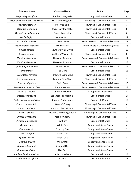| <b>Botanical Name</b>             | <b>Common Name</b>        | <b>Section</b>                               | Page           |
|-----------------------------------|---------------------------|----------------------------------------------|----------------|
| Magnolia grandiflora              | Southern Magnolia         | Canopy and Shade Trees                       | 4              |
| Magnolia grandiflora 'Little Gem' | Little Gem Magnolia       | Flowering & Ornamental Trees                 | 8              |
| Magnolia stellata                 | Star Magnolia             | Flowering & Ornamental Trees                 | $\overline{7}$ |
| Magnolia virginiana               | Sweet Bay Magnolia        | Flowering & Ornamental Trees                 | 8              |
| Magnolia x soulangiana            | Saucer Magnolia           | Flowering & Ornamental Trees                 | 6              |
| Michelia figo                     | Banana Shrub              | <b>Ornamental Shrubs</b>                     | 11             |
| Miscanthus sinensis               | <b>Maiden Grass</b>       | <b>Groundcovers &amp; Ornamental Grasses</b> | 18             |
| Muhlenbergia capillaris           | <b>Muhly Grass</b>        | Groundcovers & Ornamental grasses            | 18             |
| Myrica cerifera                   | Southern Wax Myrtle       | <b>Ornamental Shrubs</b>                     | 16             |
| Myrica cerifera                   | Southern Wax Myrtle       | Flowering & Ornamental Trees                 | 8              |
| Nandina domestica                 | Heavenly Bamboo           | Groundcovers & Ornamental Grasses            | 17             |
| Nandina domestica                 | <b>Heavenly Bamboo</b>    | <b>Ornamental Shrubs</b>                     | 13             |
| Ophhiopogon japonicas             | Mondo Grass               | <b>Groundcovers &amp; Ornamental Grasses</b> | 17             |
| <b>Osmanthus</b>                  | Tea Olive                 | <b>Ornamental Shrubs</b>                     | 15             |
| Osmanthus fortunei                | Fortune's Osmanthus       | Flowering & Ornamental Trees                 | $\overline{7}$ |
| Osmanthus fragrans                | Fragrant Tea Olive        | Flowering & Ornamental Trees                 | $\overline{7}$ |
| Panicum virgatum                  | <b>Panic Grass</b>        | <b>Groundcovers &amp; Ornamental Grasses</b> | 18             |
| Pennisetum alopecuroides          | <b>Fountain Grass</b>     | <b>Groundcovers &amp; Ornamental Grasses</b> | 18             |
| Pistache chinensis                | <b>Chinese Pistache</b>   | Canopy and shade Trees                       | 3              |
| Pittosporum tobira                | Japanese Pittosporum      | <b>Ornamental Shrubs</b>                     | 14             |
| Podocarpus macrophyllus           | Chinese Podocarpus        | <b>Ornamental Shrubs</b>                     | 12             |
| Prunus campanulata                | 'Okame' Cherry            | Flowering & Ornamental Trees                 | 6              |
| Prunus caroliniana                | Carolina Cherry Laurel    | Flowering & Ornamental Trees                 | 7              |
| Prunus serrulata                  | Japanese Flowering Cherry | <b>Flowering and Ornamental Trees</b>        | 6              |
| Prunus x yedoensis                | Yoshino Cherry            | Flowering & Ornamental Trees                 | $\overline{7}$ |
| Pyracantha coccinea               | Firethorn                 | <b>Ornamental Shrubs</b>                     | 12             |
| Quercus alba                      | White Oak                 | Canopy and Shade Trees                       | 4              |
| Quercus lyrata                    | Overcup Oak               | Canopy and Shade Trees                       | 3              |
| Quercus nigra                     | Water Oak                 | Canopy and Shade Trees                       | $\overline{2}$ |
| Quercus nutalli                   | <b>Nutall Oak</b>         | Canopy and Shade Trees                       | 3              |
| Quercus phellos                   | Willow Oak                | Canopy and Shade Trees                       | $\overline{4}$ |
| Quercus shumardii                 | Shumard Oak               | Canopy and Shade Trees                       | 4              |
| Quercus virginiana                | Live Oak                  | Canopy and Shade Trees                       | 3              |
| Raphaeolepsis umbellata           | Indian Hawthorn           | <b>Ornamental Shrubs</b>                     | 13             |
| Rhododendron hybrids              | Azalea                    | <b>Ornamental Shrubs</b>                     | 11             |